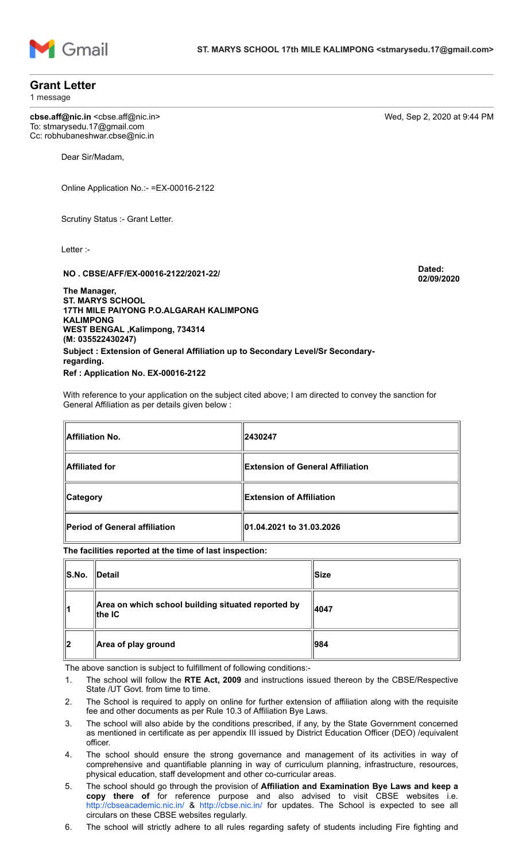

## **Grant Letter**

1 message

**cbse.aff@nic.in** <cbse.aff@nic.in> Wed, Sep 2, 2020 at 9:44 PM To: stmarysedu.17@gmail.com Cc: robhubaneshwar.cbse@nic.in

Dear Sir/Madam,

Online Application No.:- =EX-00016-2122

Scrutiny Status :- Grant Letter.

Letter :-

## **NO . CBSE/AFF/EX-00016-2122/2021-22/ Dated:**

**02/09/2020**

**The Manager, ST. MARYS SCHOOL 17TH MILE PAIYONG P.O.ALGARAH KALIMPONG KALIMPONG WEST BENGAL ,Kalimpong, 734314 (M: 035522430247) Subject : Extension of General Affiliation up to Secondary Level/Sr Secondaryregarding. Ref : Application No. EX-00016-2122**

With reference to your application on the subject cited above; I am directed to convey the sanction for General Affiliation as per details given below :

| Affiliation No.                      | 2430247                          |  |
|--------------------------------------|----------------------------------|--|
| Affiliated for                       | Extension of General Affiliation |  |
| <b>Category</b>                      | Extension of Affiliation         |  |
| <b>Period of General affiliation</b> | 01.04.2021 to 31.03.2026         |  |

**The facilities reported at the time of last inspection:**

| S.No. | <b>IDetail</b>                                                           | ∣lSize |
|-------|--------------------------------------------------------------------------|--------|
| 11    | Area on which school building situated reported by<br>$\parallel$ the IC | 4047   |
| ∥2    | Area of play ground                                                      | 984    |

The above sanction is subject to fulfillment of following conditions:-

- 1. The school will follow the **RTE Act, 2009** and instructions issued thereon by the CBSE/Respective State /UT Govt. from time to time.
- 2. The School is required to apply on online for further extension of affiliation along with the requisite fee and other documents as per Rule 10.3 of Affiliation Bye Laws.
- 3. The school will also abide by the conditions prescribed, if any, by the State Government concerned as mentioned in certificate as per appendix III issued by District Education Officer (DEO) /equivalent officer.
- 4. The school should ensure the strong governance and management of its activities in way of comprehensive and quantifiable planning in way of curriculum planning, infrastructure, resources, physical education, staff development and other co-curricular areas.
- 5. The school should go through the provision of **Affiliation and Examination Bye Laws and keep a copy there of** for reference purpose and also advised to visit CBSE websites i.e. <http://cbseacademic.nic.in/> & <http://cbse.nic.in/> for updates. The School is expected to see all circulars on these CBSE websites regularly.

6. The school will strictly adhere to all rules regarding safety of students including Fire fighting and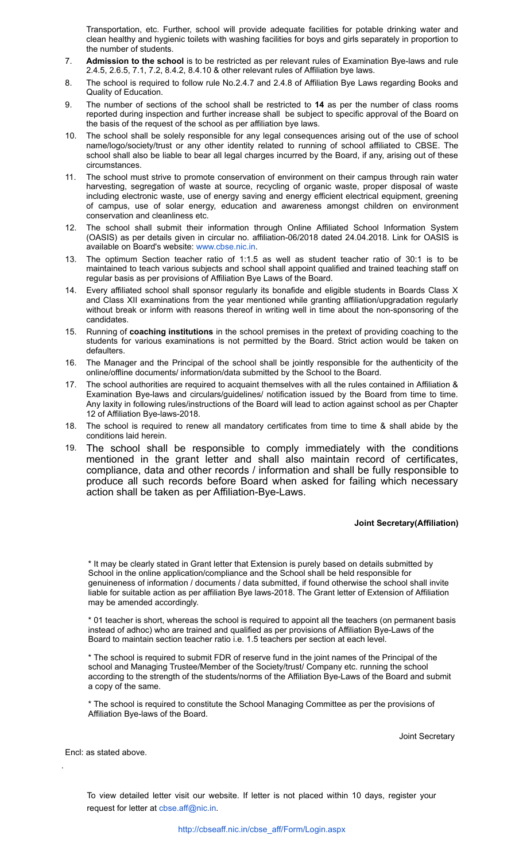Transportation, etc. Further, school will provide adequate facilities for potable drinking water and clean healthy and hygienic toilets with washing facilities for boys and girls separately in proportion to the number of students.

- 7. **Admission to the school** is to be restricted as per relevant rules of Examination Bye-laws and rule 2.4.5, 2.6.5, 7.1, 7.2, 8.4.2, 8.4.10 & other relevant rules of Affiliation bye laws.
- 8. The school is required to follow rule No.2.4.7 and 2.4.8 of Affiliation Bye Laws regarding Books and Quality of Education.
- 9. The number of sections of the school shall be restricted to **14** as per the number of class rooms reported during inspection and further increase shall be subject to specific approval of the Board on the basis of the request of the school as per affiliation bye laws.
- 10. The school shall be solely responsible for any legal consequences arising out of the use of school name/logo/society/trust or any other identity related to running of school affiliated to CBSE. The school shall also be liable to bear all legal charges incurred by the Board, if any, arising out of these circumstances.
- 11. The school must strive to promote conservation of environment on their campus through rain water harvesting, segregation of waste at source, recycling of organic waste, proper disposal of waste including electronic waste, use of energy saving and energy efficient electrical equipment, greening of campus, use of solar energy, education and awareness amongst children on environment conservation and cleanliness etc.
- 12. The school shall submit their information through Online Affiliated School Information System (OASIS) as per details given in circular no. affiliation-06/2018 dated 24.04.2018. Link for OASIS is available on Board's website: [www.cbse.nic.in](http://www.cbse.nic.in/).
- 13. The optimum Section teacher ratio of 1:1.5 as well as student teacher ratio of 30:1 is to be maintained to teach various subjects and school shall appoint qualified and trained teaching staff on regular basis as per provisions of Affiliation Bye Laws of the Board.
- 14. Every affiliated school shall sponsor regularly its bonafide and eligible students in Boards Class X and Class XII examinations from the year mentioned while granting affiliation/upgradation regularly without break or inform with reasons thereof in writing well in time about the non-sponsoring of the candidates.
- 15. Running of **coaching institutions** in the school premises in the pretext of providing coaching to the students for various examinations is not permitted by the Board. Strict action would be taken on defaulters.
- 16. The Manager and the Principal of the school shall be jointly responsible for the authenticity of the online/offline documents/ information/data submitted by the School to the Board.
- 17. The school authorities are required to acquaint themselves with all the rules contained in Affiliation & Examination Bye-laws and circulars/guidelines/ notification issued by the Board from time to time. Any laxity in following rules/instructions of the Board will lead to action against school as per Chapter 12 of Affiliation Bye-laws-2018.
- 18. The school is required to renew all mandatory certificates from time to time & shall abide by the conditions laid herein.
- 19. The school shall be responsible to comply immediately with the conditions mentioned in the grant letter and shall also maintain record of certificates, compliance, data and other records / information and shall be fully responsible to produce all such records before Board when asked for failing which necessary action shall be taken as per Affiliation-Bye-Laws.

## **Joint Secretary(Affiliation)**

\* It may be clearly stated in Grant letter that Extension is purely based on details submitted by School in the online application/compliance and the School shall be held responsible for genuineness of information / documents / data submitted, if found otherwise the school shall invite liable for suitable action as per affiliation Bye laws-2018. The Grant letter of Extension of Affiliation may be amended accordingly.

\* 01 teacher is short, whereas the school is required to appoint all the teachers (on permanent basis instead of adhoc) who are trained and qualified as per provisions of Affiliation Bye-Laws of the Board to maintain section teacher ratio i.e. 1.5 teachers per section at each level.

\* The school is required to submit FDR of reserve fund in the joint names of the Principal of the school and Managing Trustee/Member of the Society/trust/ Company etc. running the school according to the strength of the students/norms of the Affiliation Bye-Laws of the Board and submit a copy of the same.

\* The school is required to constitute the School Managing Committee as per the provisions of Affiliation Bye-laws of the Board.

Joint Secretary

Encl: as stated above.

.

To view detailed letter visit our website. If letter is not placed within 10 days, register your request for letter at [cbse.aff@nic.in.](mailto:cbse.aff@nic.in)